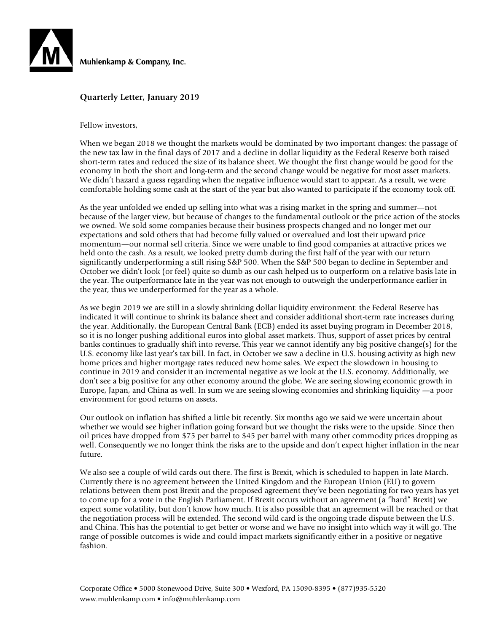

### **Quarterly Letter, January 2019**

Fellow investors,

When we began 2018 we thought the markets would be dominated by two important changes: the passage of the new tax law in the final days of 2017 and a decline in dollar liquidity as the Federal Reserve both raised short-term rates and reduced the size of its balance sheet. We thought the first change would be good for the economy in both the short and long-term and the second change would be negative for most asset markets. We didn't hazard a guess regarding when the negative influence would start to appear. As a result, we were comfortable holding some cash at the start of the year but also wanted to participate if the economy took off.

As the year unfolded we ended up selling into what was a rising market in the spring and summer—not because of the larger view, but because of changes to the fundamental outlook or the price action of the stocks we owned. We sold some companies because their business prospects changed and no longer met our expectations and sold others that had become fully valued or overvalued and lost their upward price momentum—our normal sell criteria. Since we were unable to find good companies at attractive prices we held onto the cash. As a result, we looked pretty dumb during the first half of the year with our return significantly underperforming a still rising S&P 500. When the S&P 500 began to decline in September and October we didn't look (or feel) quite so dumb as our cash helped us to outperform on a relative basis late in the year. The outperformance late in the year was not enough to outweigh the underperformance earlier in the year, thus we underperformed for the year as a whole.

As we begin 2019 we are still in a slowly shrinking dollar liquidity environment: the Federal Reserve has indicated it will continue to shrink its balance sheet and consider additional short-term rate increases during the year. Additionally, the European Central Bank (ECB) ended its asset buying program in December 2018, so it is no longer pushing additional euros into global asset markets. Thus, support of asset prices by central banks continues to gradually shift into reverse. This year we cannot identify any big positive change(s) for the U.S. economy like last year's tax bill. In fact, in October we saw a decline in U.S. housing activity as high new home prices and higher mortgage rates reduced new home sales. We expect the slowdown in housing to continue in 2019 and consider it an incremental negative as we look at the U.S. economy. Additionally, we don't see a big positive for any other economy around the globe. We are seeing slowing economic growth in Europe, Japan, and China as well. In sum we are seeing slowing economies and shrinking liquidity —a poor environment for good returns on assets.

Our outlook on inflation has shifted a little bit recently. Six months ago we said we were uncertain about whether we would see higher inflation going forward but we thought the risks were to the upside. Since then oil prices have dropped from \$75 per barrel to \$45 per barrel with many other commodity prices dropping as well. Consequently we no longer think the risks are to the upside and don't expect higher inflation in the near future.

We also see a couple of wild cards out there. The first is Brexit, which is scheduled to happen in late March. Currently there is no agreement between the United Kingdom and the European Union (EU) to govern relations between them post Brexit and the proposed agreement they've been negotiating for two years has yet to come up for a vote in the English Parliament. If Brexit occurs without an agreement (a "hard" Brexit) we expect some volatility, but don't know how much. It is also possible that an agreement will be reached or that the negotiation process will be extended. The second wild card is the ongoing trade dispute between the U.S. and China. This has the potential to get better or worse and we have no insight into which way it will go. The range of possible outcomes is wide and could impact markets significantly either in a positive or negative fashion.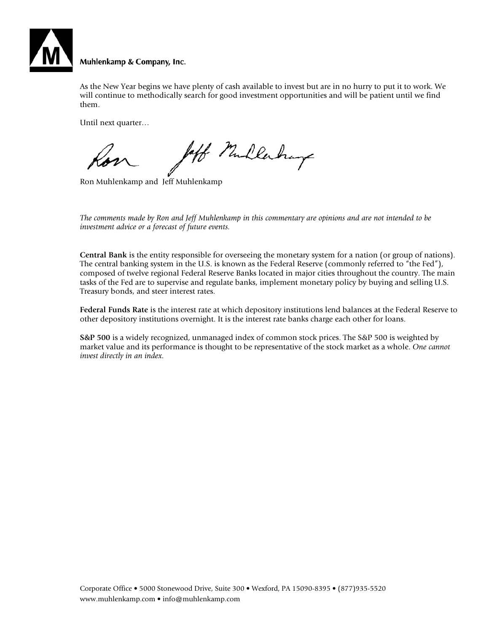

#### Muhlenkamp & Company, Inc.

As the New Year begins we have plenty of cash available to invest but are in no hurry to put it to work. We will continue to methodically search for good investment opportunities and will be patient until we find them.

Until next quarter…

left Mullerhay

Ron Muhlenkamp and Jeff Muhlenkamp

*The comments made by Ron and Jeff Muhlenkamp in this commentary are opinions and are not intended to be investment advice or a forecast of future events.*

**Central Bank** is the entity responsible for overseeing the monetary system for a nation (or group of nations). The central banking system in the U.S. is known as the Federal Reserve (commonly referred to "the Fed"), composed of twelve regional Federal Reserve Banks located in major cities throughout the country. The main tasks of the Fed are to supervise and regulate banks, implement monetary policy by buying and selling U.S. Treasury bonds, and steer interest rates.

**Federal Funds Rate** is the interest rate at which depository institutions lend balances at the Federal Reserve to other depository institutions overnight. It is the interest rate banks charge each other for loans.

**S&P 500** is a widely recognized, unmanaged index of common stock prices. The S&P 500 is weighted by market value and its performance is thought to be representative of the stock market as a whole. *One cannot invest directly in an index.*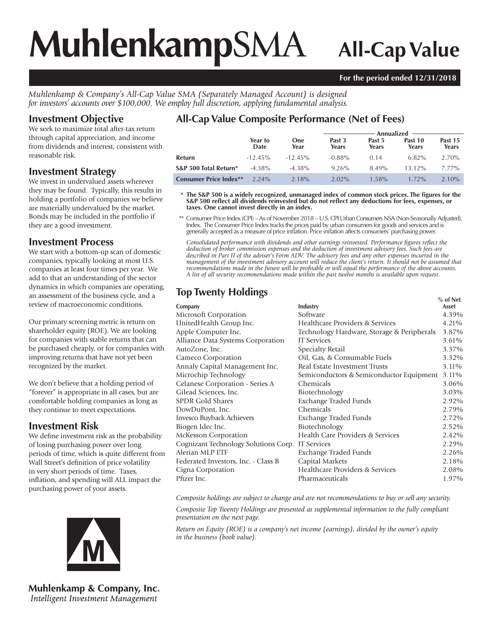# **Muhlenkamp**SMA **All-Cap Value**

# **For the period ended 12/31/2018**

*Muhlenkamp & Company's All-Cap Value SMA (Separately Managed Account) is designed for investors' accounts over \$100,000. We employ full discretion, applying fundamental analysis.*

# **Investment Objective**

We seek to maximize total after-tax return through capital appreciation, and income from dividends and interest, consistent with reasonable risk.

# **Investment Strategy**

We invest in undervalued assets wherever they may be found. Typically, this results in holding a portfolio of companies we believe are materially undervalued by the market. Bonds may be included in the portfolio if they are a good investment.

# **Investment Process**

We start with a bottom-up scan of domestic companies, typically looking at most U.S. companies at least four times per year. We add to that an understanding of the sector dynamics in which companies are operating, an assessment of the business cycle, and a review of macroeconomic conditions.

Our primary screening metric is return on shareholder equity (ROE). We are looking for companies with stable returns that can be purchased cheaply, or for companies with improving returns that have not yet been recognized by the market.

We don't believe that a holding period of "forever" is appropriate in all cases, but are comfortable holding companies as long as they continue to meet expectations.

# **Investment Risk**

We define investment risk as the probability of losing purchasing power over long periods of time, which is quite different from Wall Street's definition of price volatility in very short periods of time. Taxes, inflation, and spending will ALL impact the purchasing power of your assets.



**Muhlenkamp & Company, Inc.** Intelligent Investment Management

# **All-Cap Value Composite Performance (Net of Fees)**

|                               |                 |             | Annualized <b>Annualized</b> |                 |                  |                  |  |
|-------------------------------|-----------------|-------------|------------------------------|-----------------|------------------|------------------|--|
|                               | Year to<br>Date | One<br>Year | Past 3<br>Years              | Past 5<br>Years | Past 10<br>Years | Past 15<br>Years |  |
| Return                        | $-12.45\%$      | $-12.45\%$  | $-0.88\%$                    | 0.14            | $6.82\%$         | 2.70%            |  |
| S&P 500 Total Return*         | $-4.38\%$       | $-4.38\%$   | 9.26%                        | 8.49%           | $13.12\%$        | $7.77\%$         |  |
| <b>Consumer Price Index**</b> | $2.24\%$        | 2.18%       | $2.02\%$                     | $1.58\%$        | $1.72\%$         | $2.10\%$         |  |

\* The S&P 500 is a widely recognized, unmanaged index of common stock prices. The figures for the S&P 500 reflect all dividends reinvested but do not reflect any deductions for fees, expenses, or **taxes. One cannot invest directly in an index.**

 \*\* Consumer Price Index (CPI) – As of November 2018 – U.S. CPI Urban Consumers NSA (Non-Seasonally Adjusted), Index. The Consumer Price Index tracks the prices paid by urban consumers for goods and services and is generally accepted as a measure of price infl ation. Price infl ation affects consumers' purchasing power.

Consolidated performance with dividends and other earnings reinvested. Performance figures reflect the *deduction of broker commission expenses and the deduction of investment advisory fees. Such fees are described in Part II of the adviser's Form ADV. The advisory fees and any other expenses incurred in the management of the investment advisory account will reduce the client's return. It should not be assumed that recommendations made in the future will be profi table or will equal the performance of the above accounts. A list of all security recommendations made within the past twelve months is available upon request.*

# **Top Twenty Holdings**

|                                      |                                            | $%$ of Net |
|--------------------------------------|--------------------------------------------|------------|
| Company                              | Industry                                   | Asset      |
| Microsoft Corporation                | Software                                   | 4.39%      |
| UnitedHealth Group Inc.              | Healthcare Providers & Services            | 4.21%      |
| Apple Computer Inc.                  | Technology Hardware, Storage & Peripherals | 3.87%      |
| Alliance Data Systems Corporation    | <b>IT Services</b>                         | 3.61%      |
| AutoZone, Inc.                       | Specialty Retail                           | 3.37%      |
| Cameco Corporation                   | Oil, Gas, & Consumable Fuels               | 3.32%      |
| Annaly Capital Management Inc.       | Real Estate Investment Trusts              | 3.11%      |
| Microchip Technology                 | Semiconductors & Semiconductor Equipment   | 3.11%      |
| Celanese Corporation - Series A      | Chemicals                                  | 3.06%      |
| Gilead Sciences, Inc.                | Biotechnology                              | 3.03%      |
| SPDR Gold Shares                     | Exchange Traded Funds                      | 2.92%      |
| DowDuPont, Inc.                      | Chemicals                                  | 2.79%      |
| Invesco Buyback Achievers            | Exchange Traded Funds                      | 2.72%      |
| Biogen Idec Inc.                     | Biotechnology                              | 2.52%      |
| McKesson Corporation                 | Health Care Providers & Services           | 2.42%      |
| Cognizant Technology Solutions Corp. | <b>IT Services</b>                         | 2.29%      |
| Alerian MLP ETF                      | Exchange Traded Funds                      | 2.26%      |
| Federated Investors, Inc. - Class B  | Capital Markets                            | 2.18%      |
| Cigna Corporation                    | Healthcare Providers & Services            | 2.08%      |
| Pfizer Inc.                          | Pharmaceuticals                            | 1.97%      |
|                                      |                                            |            |

*Composite holdings are subject to change and are not recommendations to buy or sell any security.*

*Composite Top Twenty Holdings are presented as supplemental information to the fully compliant presentation on the next page.*

*Return on Equity (ROE) is a company's net income (earnings), divided by the owner's equity in the business (book value).*